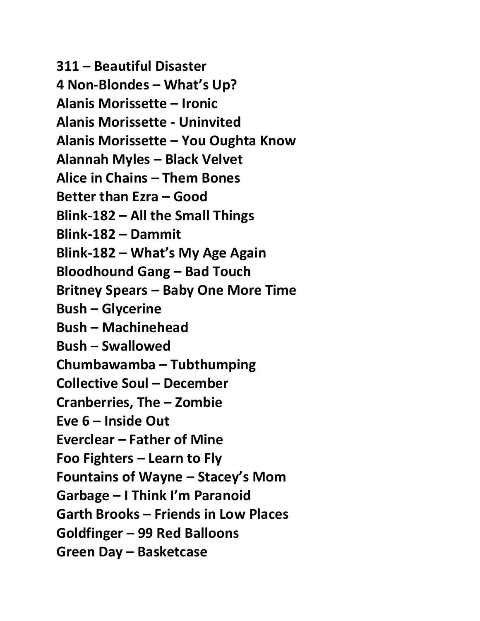**311 – Beautiful Disaster 4 Non-Blondes – What's Up? Alanis Morissette – Ironic Alanis Morissette - Uninvited Alanis Morissette – You Oughta Know Alannah Myles – Black Velvet Alice in Chains – Them Bones Better than Ezra – Good Blink-182 – All the Small Things Blink-182 – Dammit Blink-182 – What's My Age Again Bloodhound Gang – Bad Touch Britney Spears – Baby One More Time Bush – Glycerine Bush – Machinehead Bush – Swallowed Chumbawamba – Tubthumping Collective Soul – December Cranberries, The – Zombie Eve 6 – Inside Out Everclear – Father of Mine Foo Fighters – Learn to Fly Fountains of Wayne – Stacey's Mom Garbage – I Think I'm Paranoid Garth Brooks – Friends in Low Places Goldfinger – 99 Red Balloons Green Day – Basketcase**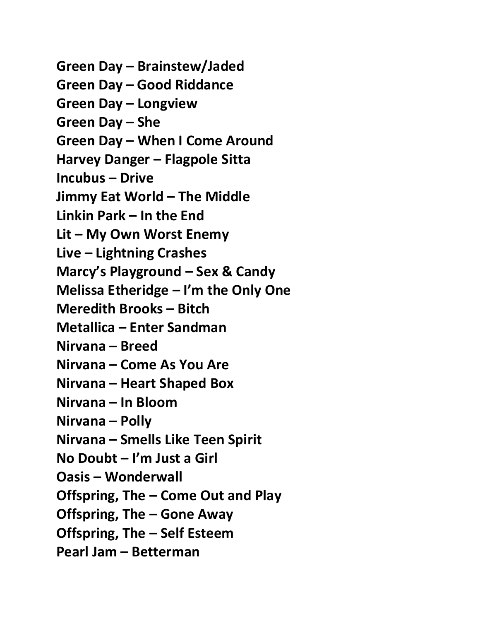**Green Day – Brainstew/Jaded Green Day – Good Riddance Green Day – Longview Green Day – She Green Day – When I Come Around Harvey Danger – Flagpole Sitta Incubus – Drive Jimmy Eat World – The Middle Linkin Park – In the End Lit – My Own Worst Enemy Live – Lightning Crashes Marcy's Playground – Sex & Candy Melissa Etheridge – I'm the Only One Meredith Brooks – Bitch Metallica – Enter Sandman Nirvana – Breed Nirvana – Come As You Are Nirvana – Heart Shaped Box Nirvana – In Bloom Nirvana – Polly Nirvana – Smells Like Teen Spirit No Doubt – I'm Just a Girl Oasis – Wonderwall Offspring, The – Come Out and Play Offspring, The – Gone Away Offspring, The – Self Esteem Pearl Jam – Betterman**